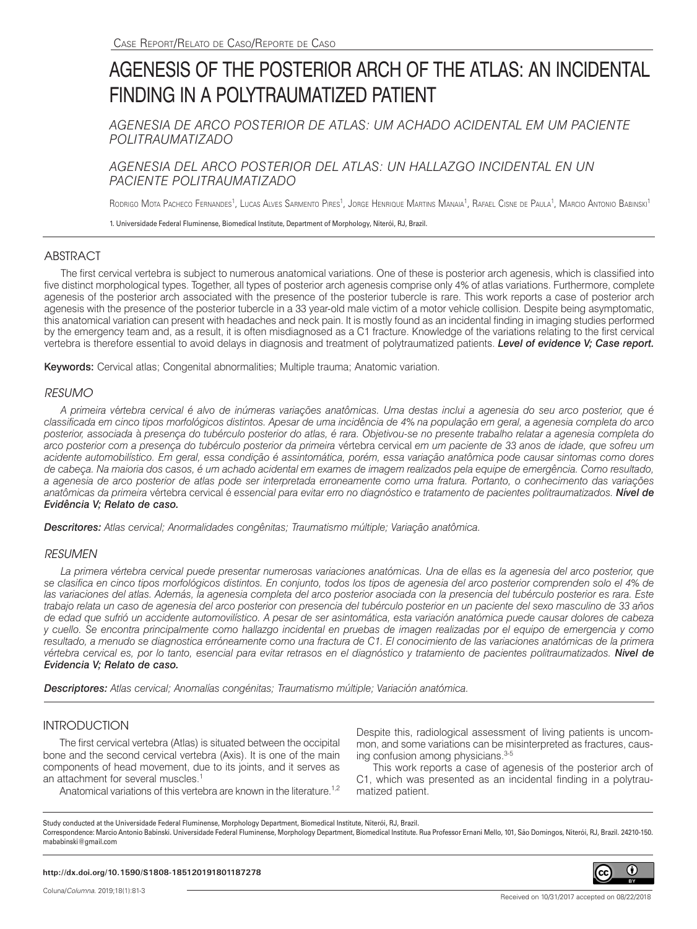# AGENESIS OF THE POSTERIOR ARCH OF THE ATLAS: AN INCIDENTAL FINDING IN A POLYTRAUMATIZED PATIENT

*AGENESIA DE ARCO POSTERIOR DE ATLAS: UM ACHADO ACIDENTAL EM UM PACIENTE POLITRAUMATIZADO*

*AGENESIA DEL ARCO POSTERIOR DEL ATLAS: UN HALLAZGO INCIDENTAL EN UN PACIENTE POLITRAUMATIZADO*

Rodrigo Mota Pacheco Fernandes<sup>1</sup>, Lucas Alves Sarmento Pires<sup>1</sup>, Jorge Henrique Martins Manaia<sup>1</sup>, Rafael Cisne de Paula<sup>1</sup>, Marcio Antonio Babinski<sup>1</sup>

1. Universidade Federal Fluminense, Biomedical Institute, Department of Morphology, Niterói, RJ, Brazil.

## ABSTRACT

The first cervical vertebra is subject to numerous anatomical variations. One of these is posterior arch agenesis, which is classified into five distinct morphological types. Together, all types of posterior arch agenesis comprise only 4% of atlas variations. Furthermore, complete agenesis of the posterior arch associated with the presence of the posterior tubercle is rare. This work reports a case of posterior arch agenesis with the presence of the posterior tubercle in a 33 year-old male victim of a motor vehicle collision. Despite being asymptomatic, this anatomical variation can present with headaches and neck pain. It is mostly found as an incidental finding in imaging studies performed by the emergency team and, as a result, it is often misdiagnosed as a C1 fracture. Knowledge of the variations relating to the first cervical vertebra is therefore essential to avoid delays in diagnosis and treatment of polytraumatized patients. *Level of evidence V; Case report.*

Keywords: Cervical atlas; Congenital abnormalities; Multiple trauma; Anatomic variation.

## *RESUMO*

*A primeira v*é*rtebra cervical é alvo de inúmeras variações anatômicas. Uma destas inclui a agenesia do seu arco posterior, que é classificada em cinco tipos morfológicos distintos. Apesar de uma incidência de 4% na população em geral, a agenesia completa do arco posterior, associada* à *presença do tubérculo posterior do atlas, é rara. Objetivou-se no presente trabalho relatar a agenesia completa do arco posterior com a presença do tubérculo posterior da primeira* vértebra cervical *em um paciente de 33 anos de idade, que sofreu um acidente automobilístico. Em geral, essa condição é assintomática, porém, essa variação anatômica pode causar sintomas como dores de cabeça. Na maioria dos casos, é um achado acidental em exames de imagem realizados pela equipe de emergência. Como resultado, a agenesia de arco posterior de atlas pode ser interpretada erroneamente como uma fratura. Portanto, o conhecimento das variações anatômicas da primeira* vértebra cervical é *essencial para evitar erro no diagnóstico e tratamento de pacientes politraumatizados. Nível de Evidência V; Relato de caso.*

*Descritores: Atlas cervical; Anormalidades congênitas; Traumatismo múltiple; Variação anatômica.*

## *RESUMEN*

*La primera vértebra cervical puede presentar numerosas variaciones anatómicas. Una de ellas es la agenesia del arco posterior, que se clasifica en cinco tipos morfológicos distintos. En conjunto, todos los tipos de agenesia del arco posterior comprenden solo el 4% de*  las variaciones del atlas. Además, la agenesia completa del arco posterior asociada con la presencia del tubérculo posterior es rara. Este *trabajo relata un caso de agenesia del arco posterior con presencia del tubérculo posterior en un paciente del sexo masculino de 33 años de edad que sufrió un accidente automovilístico. A pesar de ser asintomática, esta variación anatómica puede causar dolores de cabeza y cuello. Se encontra principalmente como hallazgo incidental en pruebas de imagen realizadas por el equipo de emergencia y como resultado, a menudo se diagnostica erróneamente como una fractura de C1. El conocimiento de las variaciones anatómicas de la primera vértebra cervical es, por lo tanto, esencial para evitar retrasos en el diagnóstico y tratamiento de pacientes politraumatizados. Nivel de Evidencia V; Relato de caso.*

*Descriptores: Atlas cervical; Anomalías congénitas; Traumatismo múltiple; Variación anatómica.*

# INTRODUCTION

The first cervical vertebra (Atlas) is situated between the occipital bone and the second cervical vertebra (Axis). It is one of the main components of head movement, due to its joints, and it serves as an attachment for several muscles.<sup>1</sup>

Despite this, radiological assessment of living patients is uncommon, and some variations can be misinterpreted as fractures, causing confusion among physicians.<sup>3-5</sup>

This work reports a case of agenesis of the posterior arch of C1, which was presented as an incidental finding in a polytraumatized patient.

Anatomical variations of this vertebra are known in the literature.<sup>1,2</sup>

Study conducted at the Universidade Federal Fluminense, Morphology Department, Biomedical Institute, Niterói, RJ, Brazil.

Correspondence: Marcio Antonio Babinski. Universidade Federal Fluminense, Morphology Department, Biomedical Institute. Rua Professor Ernani Mello, 101, São Domingos, Niterói, RJ, Brazil. 24210-150. mababinski@gmail.com

#### **http://dx.doi.org/10.1590/S1808-185120191801187278**

Received on 10/31/2017 accepted on 08/22/2018

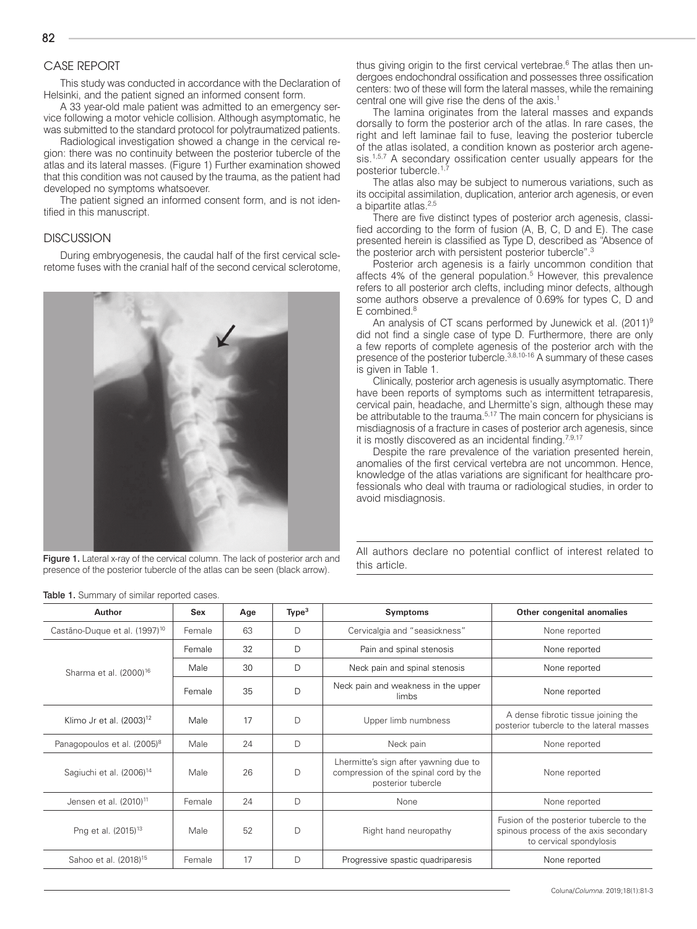# CASE REPORT

This study was conducted in accordance with the Declaration of Helsinki, and the patient signed an informed consent form.

A 33 year-old male patient was admitted to an emergency service following a motor vehicle collision. Although asymptomatic, he was submitted to the standard protocol for polytraumatized patients.

Radiological investigation showed a change in the cervical region: there was no continuity between the posterior tubercle of the atlas and its lateral masses. (Figure 1) Further examination showed that this condition was not caused by the trauma, as the patient had developed no symptoms whatsoever.

The patient signed an informed consent form, and is not identified in this manuscript.

#### **DISCUSSION**

During embryogenesis, the caudal half of the first cervical scleretome fuses with the cranial half of the second cervical sclerotome,



Figure 1. Lateral x-ray of the cervical column. The lack of posterior arch and presence of the posterior tubercle of the atlas can be seen (black arrow).

thus giving origin to the first cervical vertebrae.<sup>6</sup> The atlas then undergoes endochondral ossification and possesses three ossification centers: two of these will form the lateral masses, while the remaining central one will give rise the dens of the axis.<sup>1</sup>

The lamina originates from the lateral masses and expands dorsally to form the posterior arch of the atlas. In rare cases, the right and left laminae fail to fuse, leaving the posterior tubercle of the atlas isolated, a condition known as posterior arch agenesis.<sup>1,5,7</sup> A secondary ossification center usually appears for the posterior tubercle.<sup>1,</sup>

The atlas also may be subject to numerous variations, such as its occipital assimilation, duplication, anterior arch agenesis, or even a bipartite atlas.<sup>2,5</sup>

There are five distinct types of posterior arch agenesis, classified according to the form of fusion (A, B, C, D and E). The case presented herein is classified as Type D, described as "Absence of the posterior arch with persistent posterior tubercle".<sup>3</sup>

Posterior arch agenesis is a fairly uncommon condition that affects 4% of the general population.<sup>5</sup> However, this prevalence refers to all posterior arch clefts, including minor defects, although some authors observe a prevalence of 0.69% for types C, D and E combined.<sup>8</sup>

An analysis of CT scans performed by Junewick et al. (2011)<sup>9</sup> did not find a single case of type D. Furthermore, there are only a few reports of complete agenesis of the posterior arch with the presence of the posterior tubercle.3,8,10-16 A summary of these cases is given in Table 1.

Clinically, posterior arch agenesis is usually asymptomatic. There have been reports of symptoms such as intermittent tetraparesis, cervical pain, headache, and Lhermitte's sign, although these may be attributable to the trauma.<sup>5,17</sup> The main concern for physicians is misdiagnosis of a fracture in cases of posterior arch agenesis, since it is mostly discovered as an incidental finding.<sup>7,9,17</sup>

Despite the rare prevalence of the variation presented herein, anomalies of the first cervical vertebra are not uncommon. Hence, knowledge of the atlas variations are significant for healthcare professionals who deal with trauma or radiological studies, in order to avoid misdiagnosis.

All authors declare no potential conflict of interest related to this article.

| Author                                    | Sex    | Age | Type <sup>3</sup> | <b>Symptoms</b>                                                                                      | Other congenital anomalies                                                                                  |
|-------------------------------------------|--------|-----|-------------------|------------------------------------------------------------------------------------------------------|-------------------------------------------------------------------------------------------------------------|
| Castãno-Duque et al. (1997) <sup>10</sup> | Female | 63  | D                 | Cervicalgia and "seasickness"                                                                        | None reported                                                                                               |
| Sharma et al. (2000) <sup>16</sup>        | Female | 32  | D                 | Pain and spinal stenosis                                                                             | None reported                                                                                               |
|                                           | Male   | 30  | D                 | Neck pain and spinal stenosis                                                                        | None reported                                                                                               |
|                                           | Female | 35  | D                 | Neck pain and weakness in the upper<br>limbs                                                         | None reported                                                                                               |
| Klimo Jr et al. (2003) <sup>12</sup>      | Male   | 17  | D                 | Upper limb numbness                                                                                  | A dense fibrotic tissue joining the<br>posterior tubercle to the lateral masses                             |
| Panagopoulos et al. (2005) <sup>8</sup>   | Male   | 24  | D                 | Neck pain                                                                                            | None reported                                                                                               |
| Sagiuchi et al. (2006) <sup>14</sup>      | Male   | 26  | D                 | Lhermitte's sign after yawning due to<br>compression of the spinal cord by the<br>posterior tubercle | None reported                                                                                               |
| Jensen et al. (2010) <sup>11</sup>        | Female | 24  | D                 | None                                                                                                 | None reported                                                                                               |
| Png et al. (2015) <sup>13</sup>           | Male   | 52  | D                 | Right hand neuropathy                                                                                | Fusion of the posterior tubercle to the<br>spinous process of the axis secondary<br>to cervical spondylosis |
| Sahoo et al. (2018) <sup>15</sup>         | Female | 17  | D                 | Progressive spastic quadriparesis                                                                    | None reported                                                                                               |

Table 1. Summary of similar reported cases.